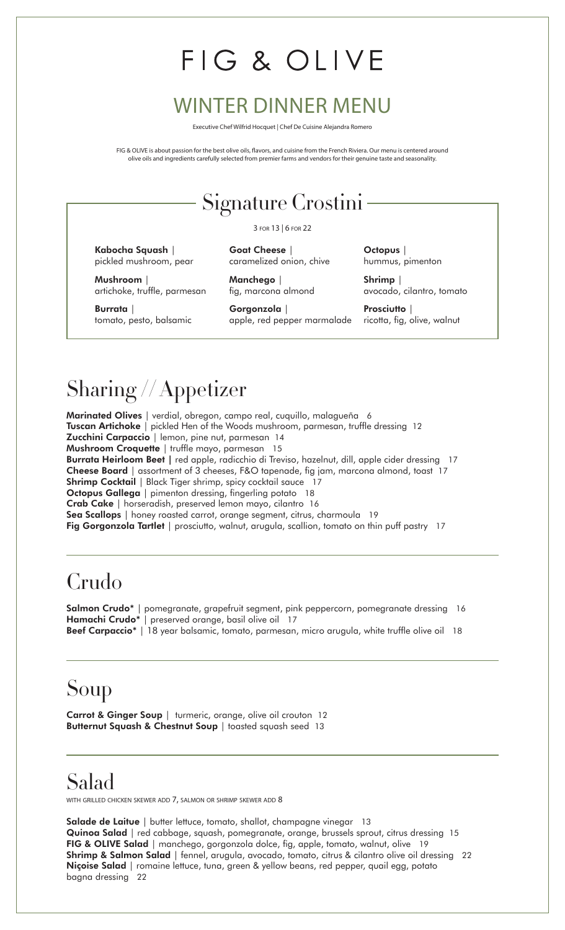# FIG & OLIVE

#### WINTER DINNER MENU

Executive Chef Wilfrid Hocquet | Chef De Cuisine Alejandra Romero

FIG & OLIVE is about passion for the best olive oils, flavors, and cuisine from the French Riviera. Our menu is centered around olive oils and ingredients carefully selected from premier farms and vendors for their genuine taste and seasonality.

#### Signature Crostini

3 for 13 | 6 for 22

caramelized onion, chive

fig, marcona almond

**Goat Cheese** |

**Manchego** |

**Kabocha Squash** | pickled mushroom, pear

**Mushroom** | artichoke, truffle, parmesan

**Burrata** | tomato, pesto, balsamic

**Gorgonzola** | apple, red pepper marmalade **Octopus** | hummus, pimenton

**Shrimp** | avocado, cilantro, tomato

**Prosciutto** | ricotta, fig, olive, walnut

# Sharing // Appetizer

**Marinated Olives** | verdial, obregon, campo real, cuquillo, malagueña 6 **Tuscan Artichoke** | pickled Hen of the Woods mushroom, parmesan, truffle dressing 12 **Zucchini Carpaccio** | lemon, pine nut, parmesan 14 **Mushroom Croquette** | truffle mayo, parmesan 15 **Burrata Heirloom Beet |** red apple, radicchio di Treviso, hazelnut, dill, apple cider dressing 17 **Cheese Board** | assortment of 3 cheeses, F&O tapenade, fig jam, marcona almond, toast 17 **Shrimp Cocktail** | Black Tiger shrimp, spicy cocktail sauce 17 **Octopus Gallega** | pimenton dressing, fingerling potato 18 **Crab Cake** | horseradish, preserved lemon mayo, cilantro 16 Sea Scallops | honey roasted carrot, orange segment, citrus, charmoula 19 Fig Gorgonzola Tartlet | prosciutto, walnut, arugula, scallion, tomato on thin puff pastry 17

## Crudo

**Salmon Crudo\*** | pomegranate, grapefruit segment, pink peppercorn, pomegranate dressing 16 **Hamachi Crudo\*** | preserved orange, basil olive oil 17 **Beef Carpaccio**\* | 18 year balsamic, tomato, parmesan, micro arugula, white truffle olive oil 18

## Soup

**Carrot & Ginger Soup** | turmeric, orange, olive oil crouton 12 **Butternut Squash & Chestnut Soup** | toasted squash seed 13

#### Salad

with grilled chicken skewer add  $7$ , salmon or shrimp skewer add  $8$ 

**Salade de Laitue** | butter lettuce, tomato, shallot, champagne vinegar 13 **Quinoa Salad** | red cabbage, squash, pomegranate, orange, brussels sprout, citrus dressing 15 **FIG & OLIVE Salad** | manchego, gorgonzola dolce, fig, apple, tomato, walnut, olive 19 **Shrimp & Salmon Salad** | fennel, arugula, avocado, tomato, citrus & cilantro olive oil dressing 22 **Niçoise Salad** | romaine lettuce, tuna, green & yellow beans, red pepper, quail egg, potato bagna dressing 22